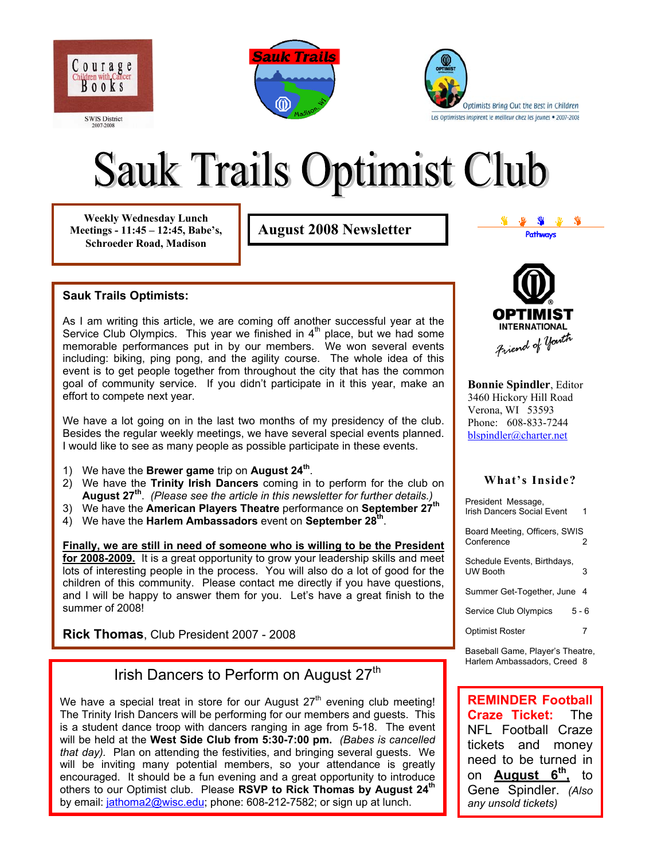

**Sauk Trails** ⑩



# **Sauk Trails Optimist Club**

**Weekly Wednesday Lunch Meetings - 11:45 – 12:45, Babe's, Schroeder Road, Madison** 

**August 2008 Newsletter and the Second Second Pathways** 

#### **Sauk Trails Optimists:**

As I am writing this article, we are coming off another successful year at the Service Club Olympics. This year we finished in  $4<sup>th</sup>$  place, but we had some memorable performances put in by our members. We won several events including: biking, ping pong, and the agility course. The whole idea of this event is to get people together from throughout the city that has the common goal of community service. If you didn't participate in it this year, make an effort to compete next year.

We have a lot going on in the last two months of my presidency of the club. Besides the regular weekly meetings, we have several special events planned. I would like to see as many people as possible participate in these events.

- 1) We have the **Brewer game** trip on **August 24th**.
- 2) We have the **Trinity Irish Dancers** coming in to perform for the club on **August 27th**. *(Please see the article in this newsletter for further details.)*
- 3) We have the **American Players Theatre** performance on **September 27th**
- 4) We have the **Harlem Ambassadors** event on **September 28th** .

**Finally, we are still in need of someone who is willing to be the President for 2008-2009.** It is a great opportunity to grow your leadership skills and meet lots of interesting people in the process. You will also do a lot of good for the children of this community. Please contact me directly if you have questions, and I will be happy to answer them for you. Let's have a great finish to the summer of 2008!

**Rick Thomas**, Club President 2007 - 2008

## Irish Dancers to Perform on August 27<sup>th</sup>

We have a special treat in store for our August  $27<sup>th</sup>$  evening club meeting! The Trinity Irish Dancers will be performing for our members and guests. This is a student dance troop with dancers ranging in age from 5-18. The event will be held at the **West Side Club from 5:30-7:00 pm.** *(Babes is cancelled that day).* Plan on attending the festivities, and bringing several guests. We will be inviting many potential members, so your attendance is greatly encouraged. It should be a fun evening and a great opportunity to introduce others to our Optimist club. Please **RSVP to Rick Thomas by August 24th** [by email: jathoma2@](mailto:jathoma2@wisc.edu)wisc.edu; phone: 608-212-7582; or sign up at lunch.



**Bonnie Spindler**, Editor 3460 Hickory Hill Road Verona, WI 53593 Phone: 608-833-7244 [blspindler@charter.net](mailto:blspindler@charter.net)

#### **What's Inside?**

| President Message,<br>Irish Dancers Social Event |       |
|--------------------------------------------------|-------|
| Board Meeting, Officers, SWIS<br>Conference      | 2     |
| Schedule Events, Birthdays,<br><b>UW Booth</b>   | 3     |
| Summer Get-Together, June                        | -4    |
| Service Club Olympics                            | 5 - 6 |
| <b>Optimist Roster</b>                           | 7     |
|                                                  |       |

Baseball Game, Player's Theatre, Harlem Ambassadors, Creed 8

**REMINDER Football Craze Ticket:** The NFL Football Craze tickets and money need to be turned in on **August 6th,** to Gene Spindler. *(Also any unsold tickets)*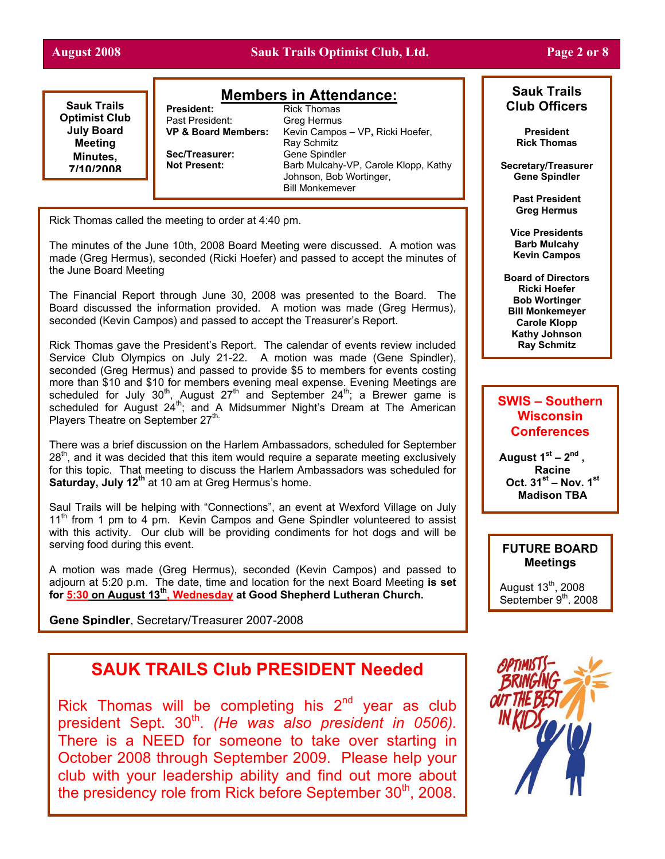#### **August 2008 Sauk Trails Optimist Club, Ltd. Page 2 or 8**

#### **Sauk Trails Optimist Club July Board Meeting Minutes, 7/10/2008**

#### **Members in Attendance:**

**President:** Rick Thomas Past President: Greg Hermus<br>**VP & Board Members:** Kevin Campos Kevin Campos – VP, Ricki Hoefer, Ray Schmitz Sec/Treasurer: Gene Spindler **Not Present:** Barb Mulcahy-VP, Carole Klopp, Kathy Johnson, Bob Wortinger, Bill Monkemeyer

Rick Thomas called the meeting to order at 4:40 pm.

The minutes of the June 10th, 2008 Board Meeting were discussed. A motion was made (Greg Hermus), seconded (Ricki Hoefer) and passed to accept the minutes of the June Board Meeting

The Financial Report through June 30, 2008 was presented to the Board. The Board discussed the information provided. A motion was made (Greg Hermus), seconded (Kevin Campos) and passed to accept the Treasurer's Report.

Rick Thomas gave the President's Report. The calendar of events review included Service Club Olympics on July 21-22. A motion was made (Gene Spindler), seconded (Greg Hermus) and passed to provide \$5 to members for events costing more than \$10 and \$10 for members evening meal expense. Evening Meetings are scheduled for July 30<sup>th</sup>, August 27<sup>th</sup> and September 24<sup>th</sup>; a Brewer game is scheduled for August  $24^{\text{th}}$ ; and A Midsummer Night's Dream at The American Players Theatre on September 27<sup>th.</sup>

There was a brief discussion on the Harlem Ambassadors, scheduled for September  $28<sup>th</sup>$ , and it was decided that this item would require a separate meeting exclusively for this topic. That meeting to discuss the Harlem Ambassadors was scheduled for **Saturday, July 12<sup>th</sup> at 10 am at Greg Hermus's home.** 

Saul Trails will be helping with "Connections", an event at Wexford Village on July 11<sup>th</sup> from 1 pm to 4 pm. Kevin Campos and Gene Spindler volunteered to assist with this activity. Our club will be providing condiments for hot dogs and will be serving food during this event.

A motion was made (Greg Hermus), seconded (Kevin Campos) and passed to adjourn at 5:20 p.m. The date, time and location for the next Board Meeting **is set for 5:30 on August 13th, Wednesday at Good Shepherd Lutheran Church.** 

**Gene Spindler**, Secretary/Treasurer 2007-2008

## **SAUK TRAILS Club PRESIDENT Needed**

Rick Thomas will be completing his  $2<sup>nd</sup>$  year as club president Sept. 30<sup>th</sup>. *(He was also president in 0506)*. There is a NEED for someone to take over starting in October 2008 through September 2009. Please help your club with your leadership ability and find out more about the presidency role from Rick before September  $30<sup>th</sup>$ , 2008.



#### **Sauk Trails Club Officers**

**President Rick Thomas**

**Secretary/Treasurer Gene Spindler** 

> **Past President Greg Hermus**

**Vice Presidents Barb Mulcahy Kevin Campos**

**Board of Directors Ricki Hoefer Bob Wortinger Bill Monkemeyer Carole Klopp Kathy Johnson Ray Schmitz** 

#### **SWIS – Southern Wisconsin Conferences**

**August 1st – 2nd , Racine Oct. 31st – Nov. 1st Madison TBA** 

#### **FUTURE BOARD Meetings**

August  $13<sup>th</sup>$ , 2008 September 9<sup>th</sup>, 2008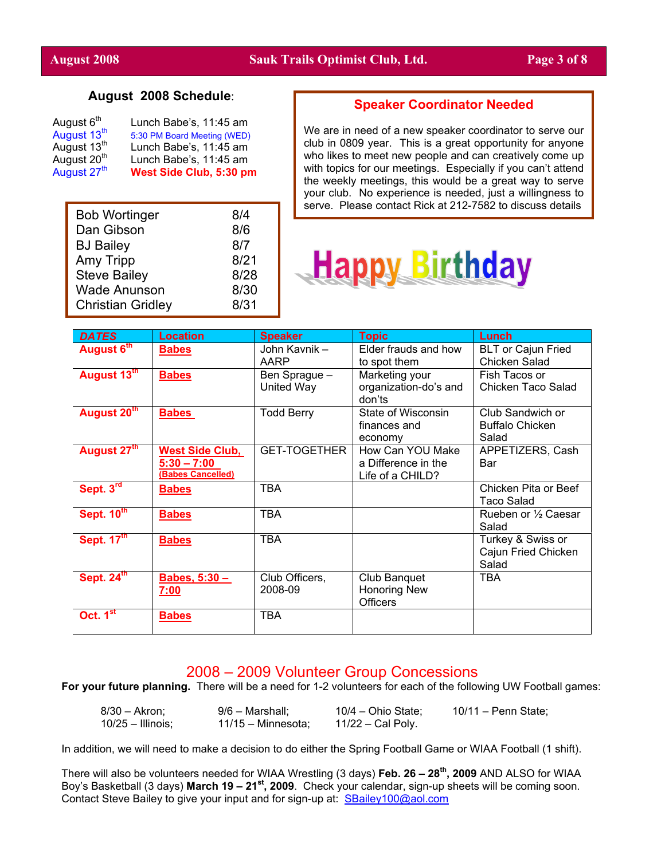#### **August 2008 Schedule**:

| August 6 <sup>th</sup>  | Lunch Babe's, 11:45 am      |
|-------------------------|-----------------------------|
| August 13 <sup>th</sup> | 5:30 PM Board Meeting (WED) |
| August 13 <sup>th</sup> | Lunch Babe's, 11:45 am      |
| August 20 <sup>th</sup> | Lunch Babe's, 11:45 am      |
| August 27 <sup>th</sup> | West Side Club, 5:30 pm     |

| <b>Bob Wortinger</b>     | 8/4  |
|--------------------------|------|
| Dan Gibson               | 8/6  |
| <b>BJ Bailey</b>         | 8/7  |
| Amy Tripp                | 8/21 |
| <b>Steve Bailey</b>      | 8/28 |
| <b>Wade Anunson</b>      | 8/30 |
| <b>Christian Gridley</b> | 8/31 |

#### **Speaker Coordinator Needed**

We are in need of a new speaker coordinator to serve our club in 0809 year. This is a great opportunity for anyone who likes to meet new people and can creatively come up with topics for our meetings. Especially if you can't attend the weekly meetings, this would be a great way to serve your club. No experience is needed, just a willingness to serve. Please contact Rick at 212-7582 to discuss details



| <b>DATES</b>                      | <b>Location</b>                                              | <b>Speaker</b>              | <b>Topic</b>                                                | Lunch                                               |
|-----------------------------------|--------------------------------------------------------------|-----------------------------|-------------------------------------------------------------|-----------------------------------------------------|
| August 6th                        | <b>Babes</b>                                                 | John Kavnik -<br>AARP       | Elder frauds and how<br>to spot them                        | <b>BLT or Cajun Fried</b><br>Chicken Salad          |
| August 13th                       | <b>Babes</b>                                                 | Ben Sprague -<br>United Way | Marketing your<br>organization-do's and<br>don'ts           | Fish Tacos or<br>Chicken Taco Salad                 |
| August 20 <sup>th</sup>           | <b>Babes</b>                                                 | <b>Todd Berry</b>           | State of Wisconsin<br>finances and<br>economy               | Club Sandwich or<br><b>Buffalo Chicken</b><br>Salad |
| August 27th                       | <b>West Side Club,</b><br>$5:30 - 7:00$<br>(Babes Cancelled) | <b>GET-TOGETHER</b>         | How Can YOU Make<br>a Difference in the<br>Life of a CHILD? | APPETIZERS, Cash<br>Bar                             |
| Sept. 3rd                         | <b>Babes</b>                                                 | <b>TBA</b>                  |                                                             | Chicken Pita or Beef<br><b>Taco Salad</b>           |
| <b>Sept. 10th</b>                 | <b>Babes</b>                                                 | <b>TBA</b>                  |                                                             | Rueben or 1/2 Caesar<br>Salad                       |
| Sept. $\overline{17}^{\text{th}}$ | <b>Babes</b>                                                 | <b>TBA</b>                  |                                                             | Turkey & Swiss or<br>Cajun Fried Chicken<br>Salad   |
| Sept. 24th                        | Babes, $5:30 -$<br><u>7:00</u>                               | Club Officers,<br>2008-09   | Club Banquet<br><b>Honoring New</b><br><b>Officers</b>      | TBA                                                 |
| Oct. 1 <sup>st</sup>              | <b>Babes</b>                                                 | TBA                         |                                                             |                                                     |

#### 2008 – 2009 Volunteer Group Concessions

**For your future planning.** There will be a need for 1-2 volunteers for each of the following UW Football games:

| $8/30 - Akron;$     | $9/6$ – Marshall;    | $10/4$ – Ohio State; | 10/11 – Penn State: |
|---------------------|----------------------|----------------------|---------------------|
| $10/25 -$ Illinois; | $11/15 -$ Minnesota: | 11/22 – Cal Poly.    |                     |

In addition, we will need to make a decision to do either the Spring Football Game or WIAA Football (1 shift).

There will also be volunteers needed for WIAA Wrestling (3 days) **Feb. 26 – 28th, 2009** AND ALSO for WIAA Boy's Basketball (3 days) **March 19 – 21st, 2009**. Check your calendar, sign-up sheets will be coming soon. Contact Steve Bailey to give your input and for sign-up at: [SBailey100@aol.com](mailto:SBailey100@aol.com)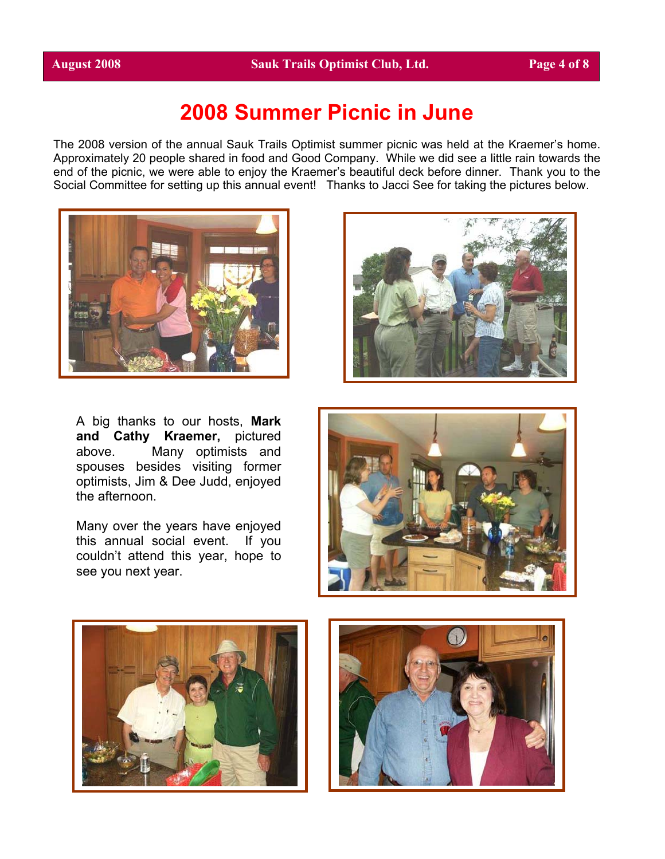# **2008 Summer Picnic in June**

The 2008 version of the annual Sauk Trails Optimist summer picnic was held at the Kraemer's home. Approximately 20 people shared in food and Good Company. While we did see a little rain towards the end of the picnic, we were able to enjoy the Kraemer's beautiful deck before dinner. Thank you to the Social Committee for setting up this annual event! Thanks to Jacci See for taking the pictures below.





A big thanks to our hosts, **Mark and Cathy Kraemer,** pictured above. Many optimists and spouses besides visiting former optimists, Jim & Dee Judd, enjoyed the afternoon.

Many over the years have enjoyed this annual social event. If you couldn't attend this year, hope to see you next year.





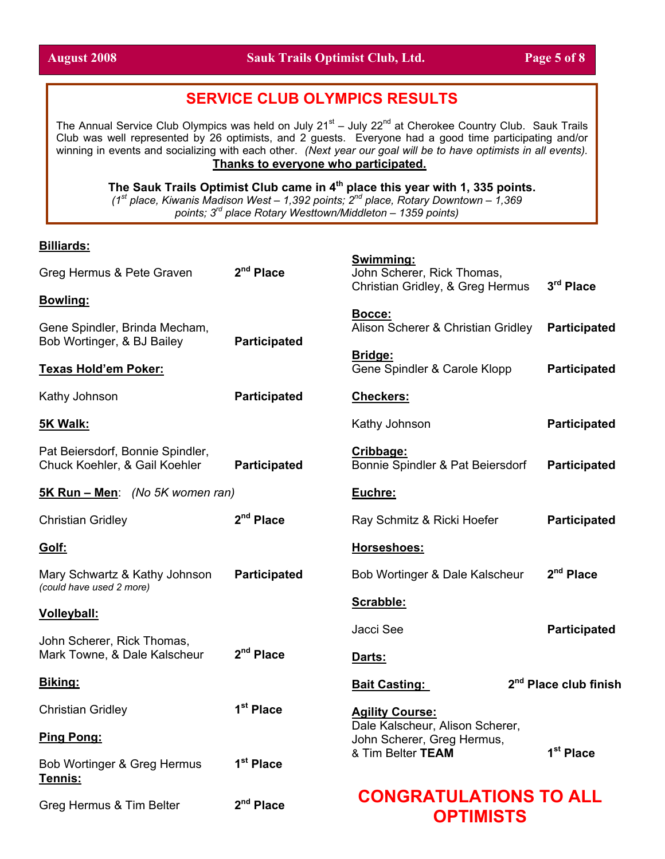## **SERVICE CLUB OLYMPICS RESULTS**

The Annual Service Club Olympics was held on July 21<sup>st</sup> – July 22<sup>nd</sup> at Cherokee Country Club. Sauk Trails Club was well represented by 26 optimists, and 2 guests. Everyone had a good time participating and/or winning in events and socializing with each other. *(Next year our goal will be to have optimists in all events).* **Thanks to everyone who participated.**

**The Sauk Trails Optimist Club came in 4th place this year with 1, 335 points.** 

*(1st place, Kiwanis Madison West – 1,392 points; 2nd place, Rotary Downtown – 1,369 points; 3rd place Rotary Westtown/Middleton – 1359 points)*

**Swimming:**

#### **Billiards:**

| Greg Hermus & Pete Graven                                         | 2 <sup>nd</sup> Place                               | <u> Əwimming:</u><br>John Scherer, Rick Thomas,<br>Christian Gridley, & Greg Hermus | 3rd Place                         |  |
|-------------------------------------------------------------------|-----------------------------------------------------|-------------------------------------------------------------------------------------|-----------------------------------|--|
| <b>Bowling:</b>                                                   |                                                     |                                                                                     |                                   |  |
| Gene Spindler, Brinda Mecham,<br>Bob Wortinger, & BJ Bailey       | <b>Participated</b>                                 | Bocce:<br>Alison Scherer & Christian Gridley                                        | <b>Participated</b>               |  |
| <b>Texas Hold'em Poker:</b>                                       |                                                     | <b>Bridge:</b><br>Gene Spindler & Carole Klopp                                      | <b>Participated</b>               |  |
| Kathy Johnson                                                     | <b>Participated</b>                                 | <b>Checkers:</b>                                                                    |                                   |  |
| 5K Walk:                                                          |                                                     | Kathy Johnson                                                                       | <b>Participated</b>               |  |
| Pat Beiersdorf, Bonnie Spindler,<br>Chuck Koehler, & Gail Koehler | <b>Participated</b>                                 | Cribbage:<br>Bonnie Spindler & Pat Beiersdorf                                       | <b>Participated</b>               |  |
| 5K Run - Men: (No 5K women ran)                                   |                                                     | Euchre:                                                                             |                                   |  |
| <b>Christian Gridley</b>                                          | 2 <sup>nd</sup> Place<br>Ray Schmitz & Ricki Hoefer |                                                                                     | <b>Participated</b>               |  |
| Golf:                                                             |                                                     | Horseshoes:                                                                         |                                   |  |
| Mary Schwartz & Kathy Johnson<br>(could have used 2 more)         | <b>Participated</b>                                 | Bob Wortinger & Dale Kalscheur                                                      | 2 <sup>nd</sup> Place             |  |
| <b>Volleyball:</b>                                                |                                                     | Scrabble:                                                                           |                                   |  |
| John Scherer, Rick Thomas,                                        |                                                     | Jacci See                                                                           | <b>Participated</b>               |  |
| Mark Towne, & Dale Kalscheur                                      | 2 <sup>nd</sup> Place                               | Darts:                                                                              |                                   |  |
| Biking:                                                           |                                                     | <b>Bait Casting:</b>                                                                | 2 <sup>nd</sup> Place club finish |  |
| <b>Christian Gridley</b>                                          | 1 <sup>st</sup> Place                               | <b>Agility Course:</b>                                                              |                                   |  |
| Ping Pong:                                                        |                                                     | Dale Kalscheur, Alison Scherer,<br>John Scherer, Greg Hermus,                       |                                   |  |
| Bob Wortinger & Greg Hermus<br>Tennis:                            | 1 <sup>st</sup> Place                               | & Tim Belter TEAM                                                                   | 1 <sup>st</sup> Place             |  |
| 2 <sup>nd</sup> Place<br>Greg Hermus & Tim Belter                 |                                                     | <b>CONGRATULATIONS TO ALL</b><br><b>OPTIMISTS</b>                                   |                                   |  |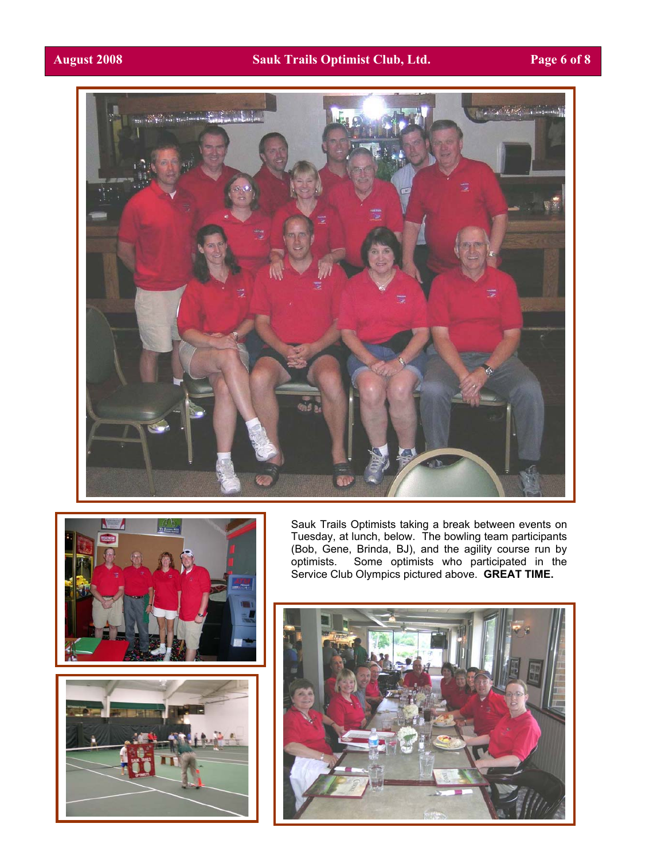#### **August 2008 Sauk Trails Optimist Club, Ltd. Page 6 of 8**







Sauk Trails Optimists taking a break between events on Tuesday, at lunch, below. The bowling team participants (Bob, Gene, Brinda, BJ), and the agility course run by optimists. Some optimists who participated in the Service Club Olympics pictured above. **GREAT TIME.**

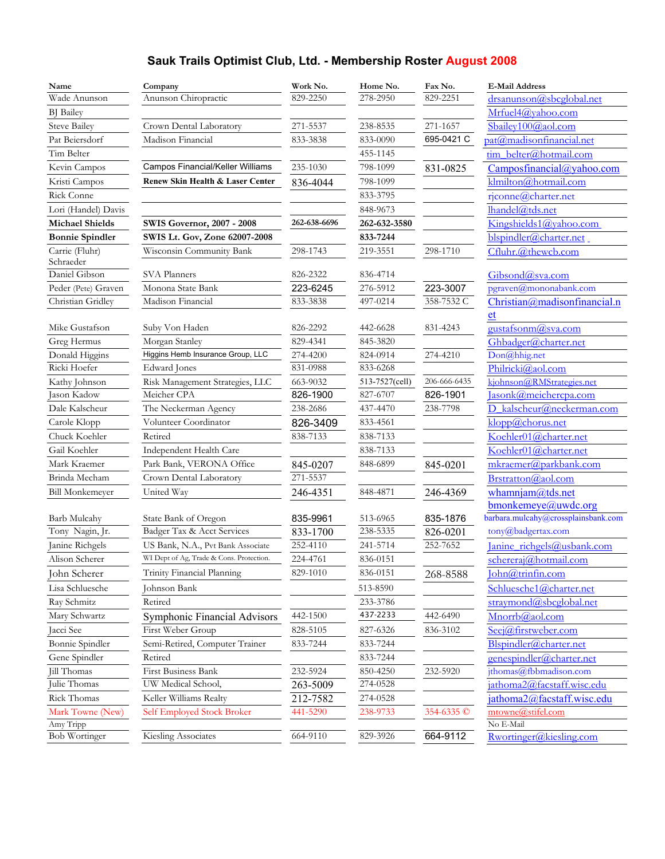## **Sauk Trails Optimist Club, Ltd. - Membership Roster August 2008**

| Name                        | Company                                  | Work No.     | Home No.       | Fax No.      | <b>E-Mail Address</b>               |
|-----------------------------|------------------------------------------|--------------|----------------|--------------|-------------------------------------|
| Wade Anunson                | Anunson Chiropractic                     | 829-2250     | 278-2950       | 829-2251     | drsanunson@sbcglobal.net            |
| <b>BJ</b> Bailey            |                                          |              |                |              | Mrfuel4@yahoo.com                   |
| <b>Steve Bailey</b>         | Crown Dental Laboratory                  | 271-5537     | 238-8535       | 271-1657     | Sbailey100@aol.com                  |
| Pat Beiersdorf              | Madison Financial                        | 833-3838     | 833-0090       | 695-0421 C   | pat@madisonfinancial.net            |
| Tim Belter                  |                                          |              | 455-1145       |              | tim belter@hotmail.com              |
| Kevin Campos                | Campos Financial/Keller Williams         | 235-1030     | 798-1099       | 831-0825     | $Campos financial (a)$ yahoo.com    |
| Kristi Campos               | Renew Skin Health & Laser Center         | 836-4044     | 798-1099       |              | klmilton@hotmail.com                |
| Rick Conne                  |                                          |              | 833-3795       |              | rjconne@charter.net                 |
| Lori (Handel) Davis         |                                          |              | 848-9673       |              | lhandel@tds.net                     |
| <b>Michael Shields</b>      | <b>SWIS Governor, 2007 - 2008</b>        | 262-638-6696 | 262-632-3580   |              | Kingshields1@yahoo.com              |
| <b>Bonnie Spindler</b>      | SWIS Lt. Gov, Zone 62007-2008            |              | 833-7244       |              | blspindler@charter.net              |
| Carrie (Fluhr)<br>Schraeder | Wisconsin Community Bank                 | 298-1743     | 219-3551       | 298-1710     | Cfluhr.@thewcb.com                  |
| Daniel Gibson               | SVA Planners                             | 826-2322     | 836-4714       |              | Gibsond@sva.com                     |
| Peder (Pete) Graven         | Monona State Bank                        | 223-6245     | 276-5912       | 223-3007     | pgraven@mononabank.com              |
| Christian Gridley           | Madison Financial                        | 833-3838     | 497-0214       | 358-7532 C   | Christian@madisonfinancial.n        |
|                             |                                          |              |                |              | et                                  |
| Mike Gustafson              | Suby Von Haden                           | 826-2292     | 442-6628       | 831-4243     | <u>eustafsonm@sva.com</u>           |
| Greg Hermus                 | Morgan Stanley                           | 829-4341     | 845-3820       |              | Ghbadger@charter.net                |
| Donald Higgins              | Higgins Hemb Insurance Group, LLC        | 274-4200     | 824-0914       | 274-4210     | Don@hhig.net                        |
| Ricki Hoefer                | Edward Jones                             | 831-0988     | 833-6268       |              | Philricki@aol.com                   |
| Kathy Johnson               | Risk Management Strategies, LLC          | 663-9032     | 513-7527(cell) | 206-666-6435 | kjohnson@RMStrategies.net           |
| Jason Kadow                 | Meicher CPA                              | 826-1900     | 827-6707       | 826-1901     | Jasonk@meichercpa.com               |
| Dale Kalscheur              | The Neckerman Agency                     | 238-2686     | 437-4470       | 238-7798     | D kalscheur@neckerman.com           |
| Carole Klopp                | Volunteer Coordinator                    | 826-3409     | 833-4561       |              | klopp@chorus.net                    |
| Chuck Koehler               | Retired                                  | 838-7133     | 838-7133       |              | Koehler01@charter.net               |
| Gail Koehler                | Independent Health Care                  |              | 838-7133       |              | Koehler01@charter.net               |
| Mark Kraemer                | Park Bank, VERONA Office                 | 845-0207     | 848-6899       | 845-0201     | mkraemer@parkbank.com               |
| Brinda Mecham               | Crown Dental Laboratory                  | 271-5537     |                |              | Brstratton@aol.com                  |
| <b>Bill Monkemeyer</b>      | United Way                               | 246-4351     | 848-4871       | 246-4369     | whamnjam $@$ tds.net                |
|                             |                                          |              |                |              | bmonkemeye@uwdc.org                 |
| Barb Mulcahy                | State Bank of Oregon                     | 835-9961     | 513-6965       | 835-1876     | barbara.mulcahy@crossplainsbank.com |
| Tony Nagin, Jr.             | Badger Tax & Acct Services               | 833-1700     | 238-5335       | 826-0201     | tony@badgertax.com                  |
| Janine Richgels             | US Bank, N.A., Pvt Bank Associate        | 252-4110     | 241-5714       | 252-7652     | Janine richgels@usbank.com          |
| Alison Scherer              | WI Dept of Ag, Trade & Cons. Protection. | 224-4761     | 836-0151       |              | schereraj@hotmail.com               |
| John Scherer                | Trinity Financial Planning               | 829-1010     | 836-0151       | 268-8588     | John@trinfin.com                    |
| Lisa Schluesche             | Johnson Bank                             |              | 513-8590       |              | Schluesche1@charter.net             |
| Ray Schmitz                 | Retired                                  |              | 233-3786       |              | straymond@sbcglobal.net             |
| Mary Schwartz               | Symphonic Financial Advisors             | 442-1500     | 437-2233       | 442-6490     | Mnorrb@aol.com                      |
| Jacci See                   | First Weber Group                        | 828-5105     | 827-6326       | 836-3102     | Seej@firstweber.com                 |
| Bonnie Spindler             | Semi-Retired, Computer Trainer           | 833-7244     | 833-7244       |              | Blspindler@charter.net              |
| Gene Spindler               | Retired                                  |              | 833-7244       |              | genespindler@charter.net            |
| Jill Thomas                 | First Business Bank                      | 232-5924     | 850-4250       | 232-5920     | jthomas@fbbmadison.com              |
| Julie Thomas                | UW Medical School,                       | 263-5009     | 274-0528       |              | jathoma2@facstaff.wisc.edu          |
| Rick Thomas                 | Keller Williams Realty                   | 212-7582     | 274-0528       |              | jathoma2@facstaff.wisc.edu          |
| Mark Towne (New)            | Self Employed Stock Broker               | 441-5290     | 238-9733       | 354-6335 ©   | mtowne@stifel.com                   |
| Amy Tripp                   |                                          |              |                |              | No E-Mail                           |
| <b>Bob Wortinger</b>        | Kiesling Associates                      | 664-9110     | 829-3926       | 664-9112     | Rwortinger@kiesling.com             |